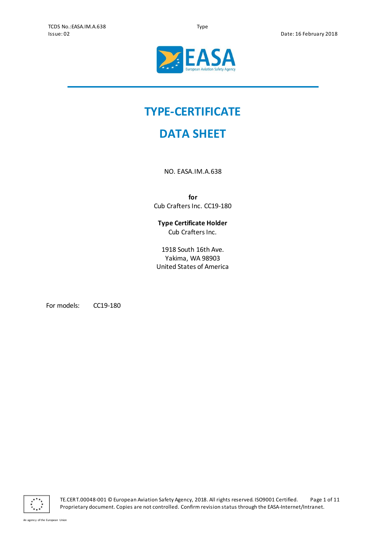

# **TYPE-CERTIFICATE**

# **DATA SHEET**

NO. EASA.IM.A.638

**for** Cub Crafters Inc. CC19-180

**Type Certificate Holder** Cub Crafters Inc.

1918 South 16th Ave. Yakima, WA 98903 United States of America

For models: CC19-180



TE.CERT.00048-001 © European Aviation Safety Agency, 2018. All rights reserved. ISO9001 Certified. Page 1 of 11 Proprietary document. Copies are not controlled. Confirm revision status through the EASA-Internet/Intranet.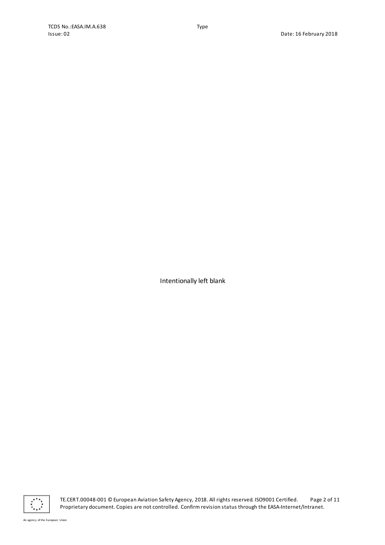Intentionally left blank



TE.CERT.00048-001 © European Aviation Safety Agency, 2018. All rights reserved. ISO9001 Certified. Page 2 of 11 Proprietary document. Copies are not controlled. Confirm revision status through the EASA-Internet/Intranet.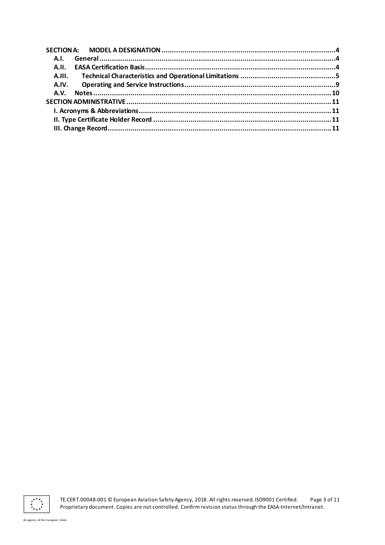| A.I. |  |  |
|------|--|--|
|      |  |  |
|      |  |  |
|      |  |  |
|      |  |  |
|      |  |  |
|      |  |  |
|      |  |  |
|      |  |  |
|      |  |  |



TE.CERT.00048-001 © European Aviation Safety Agency, 2018. All rights reserved. ISO9001 Certified. Page 3 of 11 Proprietary document. Copies are not controlled. Confirm revision status through the EASA-Internet/Intranet.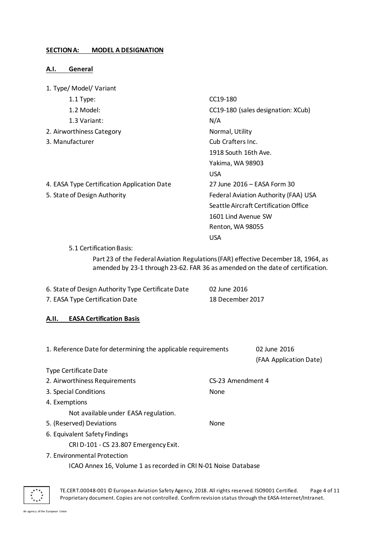# <span id="page-3-0"></span>**SECTION A: MODEL A DESIGNATION**

<span id="page-3-1"></span>

| General<br>A.I.                                                                                                                                                     |                      |                                        |
|---------------------------------------------------------------------------------------------------------------------------------------------------------------------|----------------------|----------------------------------------|
| 1. Type/ Model/ Variant                                                                                                                                             |                      |                                        |
| $1.1$ Type:                                                                                                                                                         | CC19-180             |                                        |
| 1.2 Model:                                                                                                                                                          |                      | CC19-180 (sales designation: XCub)     |
| 1.3 Variant:                                                                                                                                                        | N/A                  |                                        |
| 2. Airworthiness Category                                                                                                                                           | Normal, Utility      |                                        |
| 3. Manufacturer                                                                                                                                                     | Cub Crafters Inc.    |                                        |
|                                                                                                                                                                     | 1918 South 16th Ave. |                                        |
|                                                                                                                                                                     | Yakima, WA 98903     |                                        |
|                                                                                                                                                                     | <b>USA</b>           |                                        |
| 4. EASA Type Certification Application Date                                                                                                                         |                      | 27 June 2016 - EASA Form 30            |
| 5. State of Design Authority                                                                                                                                        |                      | Federal Aviation Authority (FAA) USA   |
|                                                                                                                                                                     |                      | Seattle Aircraft Certification Office  |
|                                                                                                                                                                     | 1601 Lind Avenue SW  |                                        |
|                                                                                                                                                                     | Renton, WA 98055     |                                        |
|                                                                                                                                                                     | <b>USA</b>           |                                        |
| 5.1 Certification Basis:                                                                                                                                            |                      |                                        |
| Part 23 of the Federal Aviation Regulations (FAR) effective December 18, 1964, as<br>amended by 23-1 through 23-62. FAR 36 as amended on the date of certification. |                      |                                        |
| 6. State of Design Authority Type Certificate Date                                                                                                                  | 02 June 2016         |                                        |
| 7. EASA Type Certification Date                                                                                                                                     | 18 December 2017     |                                        |
| <b>EASA Certification Basis</b><br>A.II.                                                                                                                            |                      |                                        |
| 1. Reference Date for determining the applicable requirements                                                                                                       |                      | 02 June 2016<br>(FAA Application Date) |
| <b>Type Certificate Date</b>                                                                                                                                        |                      |                                        |
| 2. Airworthiness Requirements                                                                                                                                       | CS-23 Amendment 4    |                                        |
| 3. Special Conditions                                                                                                                                               | None                 |                                        |
| 4. Exemptions                                                                                                                                                       |                      |                                        |
| Not available under EASA regulation.                                                                                                                                |                      |                                        |
| 5. (Reserved) Deviations                                                                                                                                            | None                 |                                        |
| 6. Equivalent Safety Findings                                                                                                                                       |                      |                                        |
| CRI D-101 - CS 23.807 Emergency Exit.                                                                                                                               |                      |                                        |
| 7. Environmental Protection                                                                                                                                         |                      |                                        |
| ICAO Annex 16, Volume 1 as recorded in CRI N-01 Noise Database                                                                                                      |                      |                                        |

<span id="page-3-2"></span>

TE.CERT.00048-001 © European Aviation Safety Agency, 2018. All rights reserved. ISO9001 Certified. Page 4 of 11 Proprietary document. Copies are not controlled. Confirm revision status through the EASA-Internet/Intranet.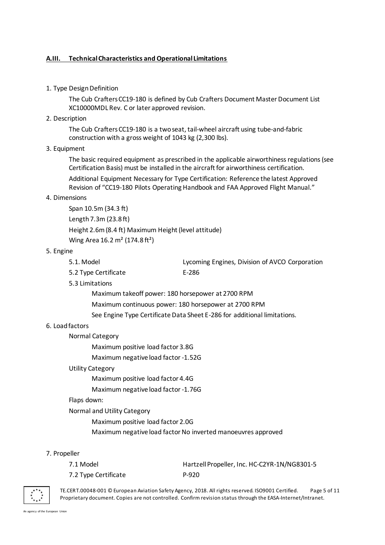## <span id="page-4-0"></span>**A.III. Technical Characteristics and Operational Limitations**

#### 1. Type Design Definition

The Cub Crafters CC19-180 is defined by Cub Crafters Document Master Document List XC10000MDL Rev. C or later approved revision.

#### 2. Description

The Cub CraftersCC19-180 is a two seat, tail-wheel aircraft using tube-and-fabric construction with a gross weight of 1043 kg (2,300 lbs).

# 3. Equipment

The basic required equipment as prescribed in the applicable airworthiness regulations (see Certification Basis) must be installed in the aircraft for airworthiness certification.

Additional Equipment Necessary for Type Certification: Reference the latest Approved Revision of "CC19-180 Pilots Operating Handbook and FAA Approved Flight Manual."

# 4. Dimensions

Span 10.5m (34.3 ft) Length 7.3m (23.8 ft) Height 2.6m (8.4 ft) Maximum Height (level attitude) Wing Area 16.2 m<sup>2</sup> (174.8 ft<sup>2</sup>)

# 5. Engine

- 5.1. Model Lycoming Engines, Division of AVCO Corporation
- 5.2 Type Certificate E-286

5.3 Limitations

Maximum takeoff power: 180 horsepower at 2700 RPM

- Maximum continuous power: 180 horsepower at 2700 RPM
- See Engine Type Certificate Data Sheet E-286 for additional limitations.

# 6. Load factors

Normal Category

Maximum positive load factor 3.8G

Maximum negative load factor -1.52G

## Utility Category

Maximum positive load factor 4.4G

Maximum negative load factor -1.76G

Flaps down:

Normal and Utility Category

Maximum positive load factor 2.0G

Maximum negative load factor No inverted manoeuvres approved

7. Propeller

| 7.1 Model            | Hartzell Propeller, Inc. HC-C2YR-1N/NG8301-5 |
|----------------------|----------------------------------------------|
| 7.2 Type Certificate | P-920                                        |



TE.CERT.00048-001 © European Aviation Safety Agency, 2018. All rights reserved. ISO9001 Certified. Page 5 of 11 Proprietary document. Copies are not controlled. Confirm revision status through the EASA-Internet/Intranet.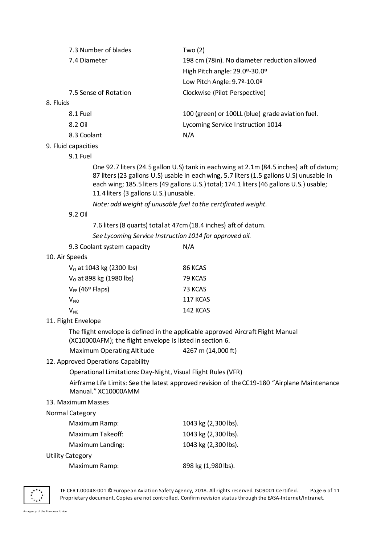| 7.3 Number of blades  | Two $(2)$                                        |
|-----------------------|--------------------------------------------------|
| 7.4 Diameter          | 198 cm (78in). No diameter reduction allowed     |
|                       | High Pitch angle: 29.0º-30.0º                    |
|                       | Low Pitch Angle: 9.7º-10.0º                      |
| 7.5 Sense of Rotation | Clockwise (Pilot Perspective)                    |
| 8. Fluids             |                                                  |
| 8.1 Fuel              | 100 (green) or 100LL (blue) grade aviation fuel. |
| 8.2 Oil               | Lycoming Service Instruction 1014                |
| 8.3 Coolant           | N/A                                              |
| 9. Fluid capacities   |                                                  |
|                       |                                                  |

9.1 Fuel

One 92.7 liters (24.5 gallon U.S) tank in each wing at 2.1m (84.5 inches) aft of datum; 87 liters (23 gallons U.S) usable in each wing, 5.7 liters (1.5 gallons U.S) unusable in each wing; 185.5 liters (49 gallons U.S.) total; 174.1 liters (46 gallons U.S.) usable; 11.4 liters (3 gallons U.S.) unusable.

*Note: add weight of unusable fuel to the certificated weight.*

9.2 Oil

7.6 liters (8 quarts) total at 47cm (18.4 inches) aft of datum. *See Lycoming Service Instruction 1014 for approved oil.*

9.3 Coolant system capacity M/A

#### 10. Air Speeds

| $V_0$ at 1043 kg (2300 lbs) | 86 KCAS  |
|-----------------------------|----------|
| $V_0$ at 898 kg (1980 lbs)  | 79 KCAS  |
| $V_{FF}$ (46º Flaps)        | 73 KCAS  |
| V <sub>NO</sub>             | 117 KCAS |
| $\mathsf{V}_{\mathsf{NE}}$  | 142 KCAS |

#### 11. Flight Envelope

The flight envelope is defined in the applicable approved Aircraft Flight Manual (XC10000AFM); the flight envelope is listed in section 6.

Maximum Operating Altitude 4267 m (14,000 ft)

#### 12. Approved Operations Capability

Operational Limitations: Day-Night, Visual Flight Rules (VFR)

Airframe Life Limits: See the latest approved revision of the CC19-180 "Airplane Maintenance Manual." XC10000AMM

# 13. Maximum Masses

|  | Normal Category |
|--|-----------------|
|--|-----------------|

| Maximum Ramp:           | 1043 kg (2,300 lbs). |
|-------------------------|----------------------|
| Maximum Takeoff:        | 1043 kg (2,300 lbs). |
| Maximum Landing:        | 1043 kg (2,300 lbs). |
| <b>Utility Category</b> |                      |
| Maximum Ramp:           | 898 kg (1,980 lbs).  |



TE.CERT.00048-001 © European Aviation Safety Agency, 2018. All rights reserved. ISO9001 Certified. Page 6 of 11 Proprietary document. Copies are not controlled. Confirm revision status through the EASA-Internet/Intranet.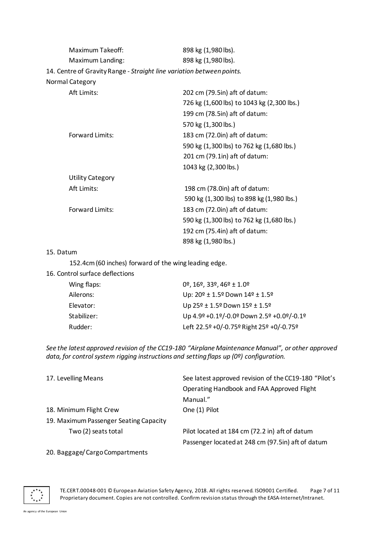| Maximum Takeoff:                                                      | 898 kg (1,980 lbs).                        |
|-----------------------------------------------------------------------|--------------------------------------------|
| Maximum Landing:                                                      | 898 kg (1,980 lbs).                        |
| 14. Centre of Gravity Range - Straight line variation between points. |                                            |
| Normal Category                                                       |                                            |
| Aft Limits:                                                           | 202 cm (79.5in) aft of datum:              |
|                                                                       | 726 kg (1,600 lbs) to 1043 kg (2,300 lbs.) |
|                                                                       | 199 cm (78.5in) aft of datum:              |
|                                                                       | 570 kg (1,300 lbs.)                        |
| <b>Forward Limits:</b>                                                | 183 cm (72.0in) aft of datum:              |
|                                                                       | 590 kg (1,300 lbs) to 762 kg (1,680 lbs.)  |
|                                                                       | 201 cm (79.1in) aft of datum:              |
|                                                                       | 1043 kg (2,300 lbs.)                       |
| <b>Utility Category</b>                                               |                                            |
| Aft Limits:                                                           | 198 cm (78.0in) aft of datum:              |
|                                                                       | 590 kg (1,300 lbs) to 898 kg (1,980 lbs.)  |
| <b>Forward Limits:</b>                                                | 183 cm (72.0in) aft of datum:              |
|                                                                       | 590 kg (1,300 lbs) to 762 kg (1,680 lbs.)  |
|                                                                       | 192 cm (75.4in) aft of datum:              |
|                                                                       | 898 kg (1,980 lbs.)                        |

#### 15. Datum

152.4cm(60 inches) forward of the wing leading edge.

| Wing flaps: | $0^{\circ}$ , 16 <sup>o</sup> , 33 <sup>o</sup> , 46 <sup>o</sup> ± 1.0 <sup>o</sup> |
|-------------|--------------------------------------------------------------------------------------|
| Ailerons:   | Up: $20^{\circ}$ ± 1.5 <sup>o</sup> Down 14 <sup>o</sup> ± 1.5 <sup>o</sup>          |
| Elevator:   | Up $25^{\circ}$ ± 1.5 <sup>o</sup> Down $15^{\circ}$ ± 1.5 <sup>o</sup>              |
| Stabilizer: | Up 4.9º +0.1º/-0.0º Down 2.5º +0.0º/-0.1º                                            |
| Rudder:     | Left 22.5º +0/-0.75º Right 25º +0/-0.75º                                             |

*See the latest approved revision of the CC19-180 "Airplane Maintenance Manual", or other approved data, for control system rigging instructions and setting flaps up (0º) configuration.*

| 17. Levelling Means                    | See latest approved revision of the CC19-180 "Pilot's |
|----------------------------------------|-------------------------------------------------------|
|                                        | Operating Handbook and FAA Approved Flight            |
|                                        | Manual."                                              |
| 18. Minimum Flight Crew                | One (1) Pilot                                         |
| 19. Maximum Passenger Seating Capacity |                                                       |
| Two (2) seats total                    | Pilot located at 184 cm (72.2 in) aft of datum        |
|                                        | Passenger located at 248 cm (97.5in) aft of datum     |
|                                        |                                                       |





TE.CERT.00048-001 © European Aviation Safety Agency, 2018. All rights reserved. ISO9001 Certified. Page 7 of 11 Proprietary document. Copies are not controlled. Confirm revision status through the EASA-Internet/Intranet.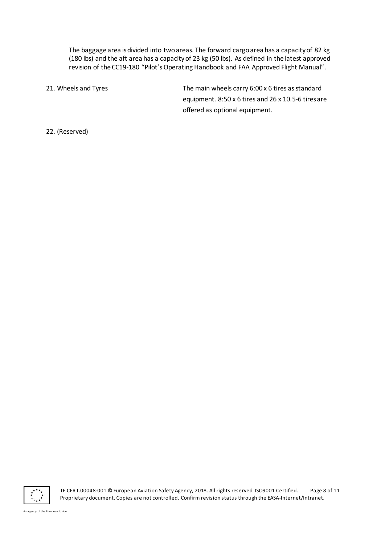The baggage area is divided into two areas. The forward cargo area has a capacity of 82 kg (180 lbs) and the aft area has a capacity of 23 kg (50 lbs). As defined in the latest approved revision of the CC19-180 "Pilot's Operating Handbook and FAA Approved Flight Manual".

21. Wheels and Tyres The main wheels carry 6:00 x 6 tires as standard equipment. 8:50 x 6 tires and 26 x 10.5-6 tires are offered as optional equipment.

22. (Reserved)



TE.CERT.00048-001 © European Aviation Safety Agency, 2018. All rights reserved. ISO9001 Certified. Page 8 of 11 Proprietary document. Copies are not controlled. Confirm revision status through the EASA-Internet/Intranet.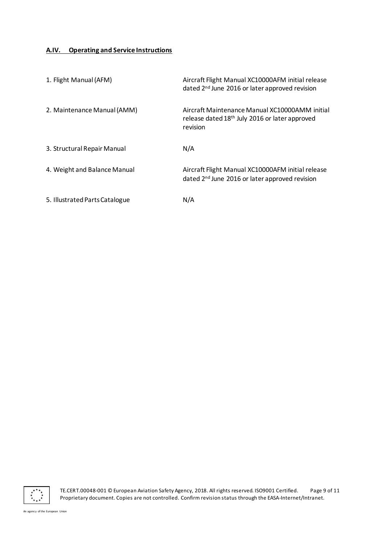# <span id="page-8-0"></span>**A.IV. Operating and Service Instructions**

| 1. Flight Manual (AFM)         | Aircraft Flight Manual XC10000AFM initial release<br>dated 2 <sup>nd</sup> June 2016 or later approved revision          |
|--------------------------------|--------------------------------------------------------------------------------------------------------------------------|
| 2. Maintenance Manual (AMM)    | Aircraft Maintenance Manual XC10000AMM initial<br>release dated 18 <sup>th</sup> July 2016 or later approved<br>revision |
| 3. Structural Repair Manual    | N/A                                                                                                                      |
| 4. Weight and Balance Manual   | Aircraft Flight Manual XC10000AFM initial release<br>dated 2 <sup>nd</sup> June 2016 or later approved revision          |
| 5. Illustrated Parts Catalogue | N/A                                                                                                                      |



TE.CERT.00048-001 © European Aviation Safety Agency, 2018. All rights reserved. ISO9001 Certified. Page 9 of 11 Proprietary document. Copies are not controlled. Confirm revision status through the EASA-Internet/Intranet.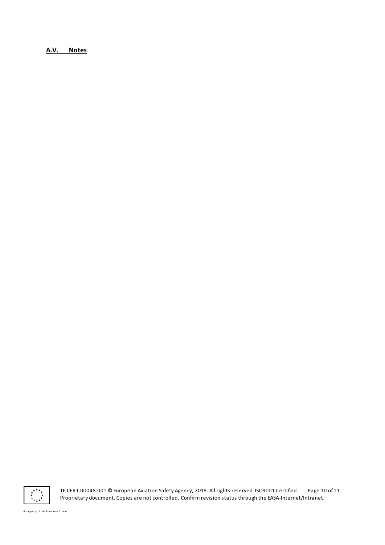<span id="page-9-0"></span>**A.V. Notes**



TE.CERT.00048-001 © European Aviation Safety Agency, 2018. All rights reserved. ISO9001 Certified. Page 10 of 11 Proprietary document. Copies are not controlled. Confirm revision status through the EASA-Internet/Intranet.

An agency of the European Union